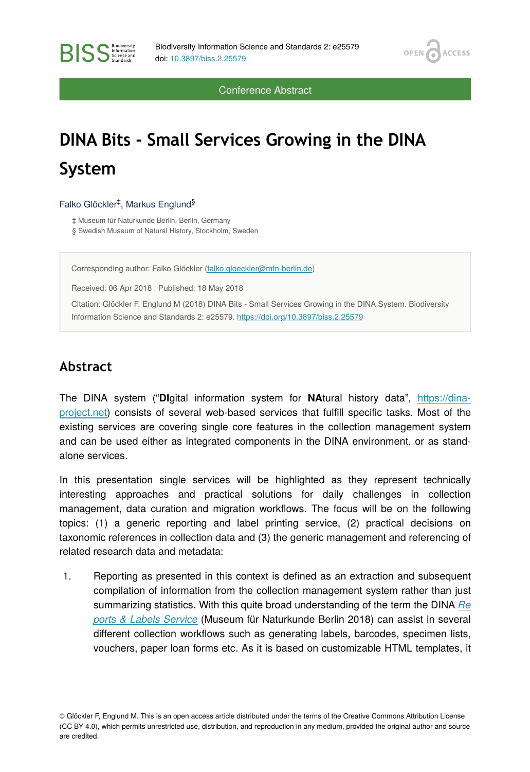OPEN<sub>C</sub>

**ACCESS** 

Conference Abstract

# **DINA Bits - Small Services Growing in the DINA System**

#### Falko Glöckler<sup>‡</sup>, Markus Englund<sup>§</sup>

**BISS** Steince and

‡ Museum für Naturkunde Berlin, Berlin, Germany § Swedish Museum of Natural History, Stockholm, Sweden

Corresponding author: Falko Glöckler ([falko.gloeckler@mfn-berlin.de](mailto:falko.gloeckler@mfn-berlin.de))

Received: 06 Apr 2018 | Published: 18 May 2018

Citation: Glöckler F, Englund M (2018) DINA Bits - Small Services Growing in the DINA System. Biodiversity Information Science and Standards 2: e25579.<https://doi.org/10.3897/biss.2.25579>

#### **Abstract**

The DINA system ("**DI**gital information system for **NA**tural history data", [https://dina](https://dina-project.net)[project.net](https://dina-project.net)) consists of several web-based services that fulfill specific tasks. Most of the existing services are covering single core features in the collection management system and can be used either as integrated components in the DINA environment, or as standalone services.

In this presentation single services will be highlighted as they represent technically interesting approaches and practical solutions for daily challenges in collection management, data curation and migration workflows. The focus will be on the following topics: (1) a generic reporting and label printing service, (2) practical decisions on taxonomic references in collection data and (3) the generic management and referencing of related research data and metadata:

1. Reporting as presented in this context is defined as an extraction and subsequent compilation of information from the collection management system rather than just summarizing statistics. With this quite broad understanding of the term the DINA *[Re](https://github.com/MfN-Berlin/reports-labels) [ports & Labels Service](https://github.com/MfN-Berlin/reports-labels)* (Museum für Naturkunde Berlin 2018) can assist in several different collection workflows such as generating labels, barcodes, specimen lists, vouchers, paper loan forms etc. As it is based on customizable HTML templates, it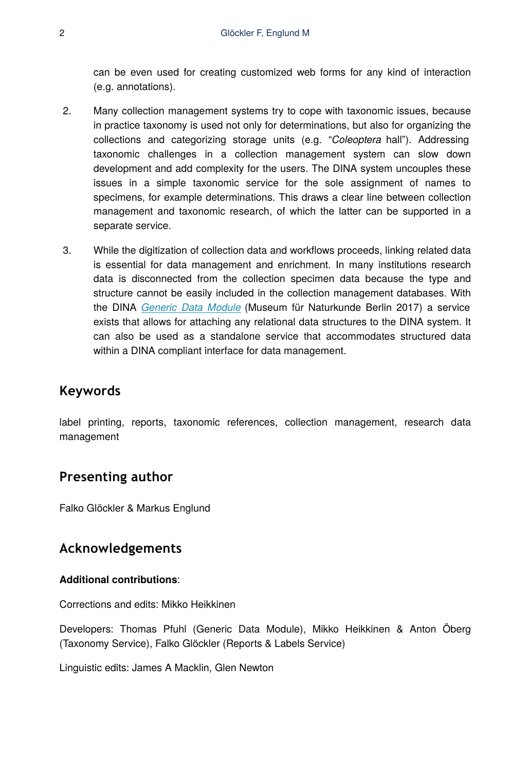can be even used for creating customized web forms for any kind of interaction (e.g. annotations).

- 2. Many collection management systems try to cope with taxonomic issues, because in practice taxonomy is used not only for determinations, but also for organizing the collections and categorizing storage units (e.g. "*Coleoptera* hall"). Addressing taxonomic challenges in a collection management system can slow down development and add complexity for the users. The DINA system uncouples these issues in a simple taxonomic service for the sole assignment of names to specimens, for example determinations. This draws a clear line between collection management and taxonomic research, of which the latter can be supported in a separate service.
- 3. While the digitization of collection data and workflows proceeds, linking related data is essential for data management and enrichment. In many institutions research data is disconnected from the collection specimen data because the type and structure cannot be easily included in the collection management databases. With the DINA *[Generic Data Module](https://github.com/MfN-Berlin/gdm)* (Museum für Naturkunde Berlin 2017) a service exists that allows for attaching any relational data structures to the DINA system. It can also be used as a standalone service that accommodates structured data within a DINA compliant interface for data management.

### **Keywords**

label printing, reports, taxonomic references, collection management, research data management

#### **Presenting author**

Falko Glöckler & Markus Englund

#### **Acknowledgements**

#### **Additional contributions**:

Corrections and edits: Mikko Heikkinen

Developers: Thomas Pfuhl (Generic Data Module), Mikko Heikkinen & Anton Öberg (Taxonomy Service), Falko Glöckler (Reports & Labels Service)

Linguistic edits: James A Macklin, Glen Newton